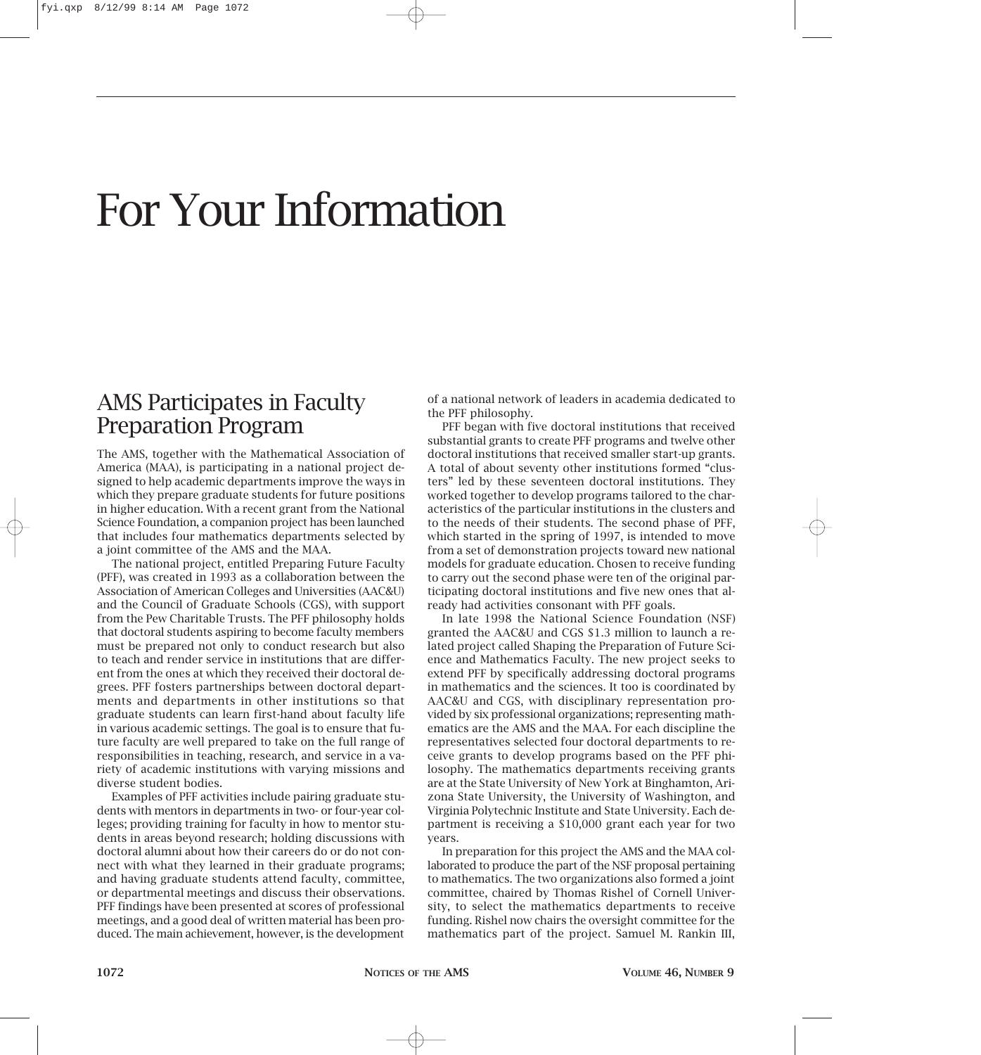# For Your Information

#### AMS Participates in Faculty Preparation Program

The AMS, together with the Mathematical Association of America (MAA), is participating in a national project designed to help academic departments improve the ways in which they prepare graduate students for future positions in higher education. With a recent grant from the National Science Foundation, a companion project has been launched that includes four mathematics departments selected by a joint committee of the AMS and the MAA.

The national project, entitled Preparing Future Faculty (PFF), was created in 1993 as a collaboration between the Association of American Colleges and Universities (AAC&U) and the Council of Graduate Schools (CGS), with support from the Pew Charitable Trusts. The PFF philosophy holds that doctoral students aspiring to become faculty members must be prepared not only to conduct research but also to teach and render service in institutions that are different from the ones at which they received their doctoral degrees. PFF fosters partnerships between doctoral departments and departments in other institutions so that graduate students can learn first-hand about faculty life in various academic settings. The goal is to ensure that future faculty are well prepared to take on the full range of responsibilities in teaching, research, and service in a variety of academic institutions with varying missions and diverse student bodies.

Examples of PFF activities include pairing graduate students with mentors in departments in two- or four-year colleges; providing training for faculty in how to mentor students in areas beyond research; holding discussions with doctoral alumni about how their careers do or do not connect with what they learned in their graduate programs; and having graduate students attend faculty, committee, or departmental meetings and discuss their observations. PFF findings have been presented at scores of professional meetings, and a good deal of written material has been produced. The main achievement, however, is the development

of a national network of leaders in academia dedicated to the PFF philosophy.

PFF began with five doctoral institutions that received substantial grants to create PFF programs and twelve other doctoral institutions that received smaller start-up grants. A total of about seventy other institutions formed "clusters" led by these seventeen doctoral institutions. They worked together to develop programs tailored to the characteristics of the particular institutions in the clusters and to the needs of their students. The second phase of PFF, which started in the spring of 1997, is intended to move from a set of demonstration projects toward new national models for graduate education. Chosen to receive funding to carry out the second phase were ten of the original participating doctoral institutions and five new ones that already had activities consonant with PFF goals.

In late 1998 the National Science Foundation (NSF) granted the AAC&U and CGS \$1.3 million to launch a related project called Shaping the Preparation of Future Science and Mathematics Faculty. The new project seeks to extend PFF by specifically addressing doctoral programs in mathematics and the sciences. It too is coordinated by AAC&U and CGS, with disciplinary representation provided by six professional organizations; representing mathematics are the AMS and the MAA. For each discipline the representatives selected four doctoral departments to receive grants to develop programs based on the PFF philosophy. The mathematics departments receiving grants are at the State University of New York at Binghamton, Arizona State University, the University of Washington, and Virginia Polytechnic Institute and State University. Each department is receiving a \$10,000 grant each year for two years.

In preparation for this project the AMS and the MAA collaborated to produce the part of the NSF proposal pertaining to mathematics. The two organizations also formed a joint committee, chaired by Thomas Rishel of Cornell University, to select the mathematics departments to receive funding. Rishel now chairs the oversight committee for the mathematics part of the project. Samuel M. Rankin III,